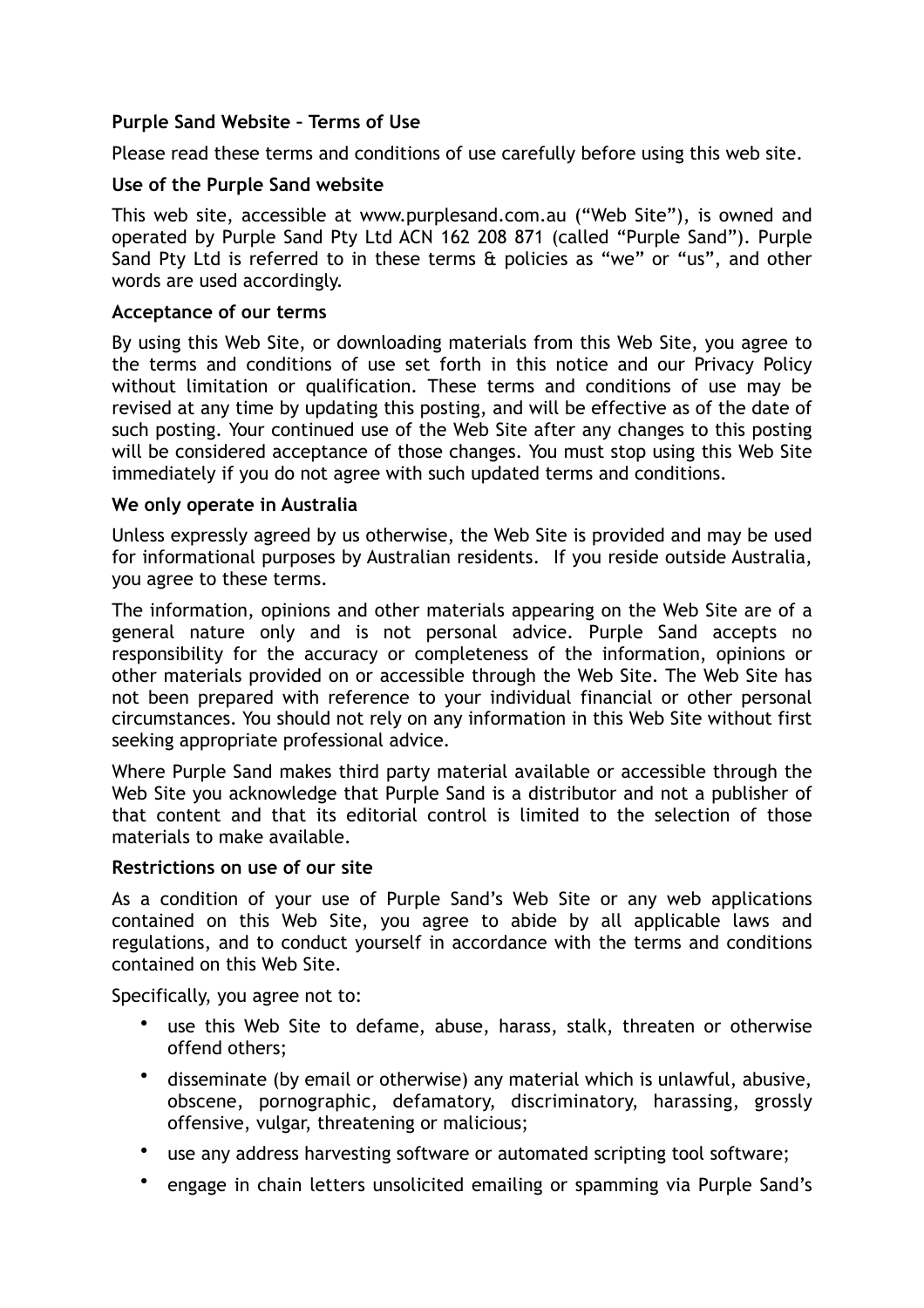# **Purple Sand Website – Terms of Use**

Please read these terms and conditions of use carefully before using this web site.

## **Use of the Purple Sand website**

This web site, accessible at www.purplesand.com.au ("Web Site"), is owned and operated by Purple Sand Pty Ltd ACN 162 208 871 (called "Purple Sand"). Purple Sand Pty Ltd is referred to in these terms & policies as "we" or "us", and other words are used accordingly.

#### **Acceptance of our terms**

By using this Web Site, or downloading materials from this Web Site, you agree to the terms and conditions of use set forth in this notice and our Privacy Policy without limitation or qualification. These terms and conditions of use may be revised at any time by updating this posting, and will be effective as of the date of such posting. Your continued use of the Web Site after any changes to this posting will be considered acceptance of those changes. You must stop using this Web Site immediately if you do not agree with such updated terms and conditions.

#### **We only operate in Australia**

Unless expressly agreed by us otherwise, the Web Site is provided and may be used for informational purposes by Australian residents. If you reside outside Australia, you agree to these terms.

The information, opinions and other materials appearing on the Web Site are of a general nature only and is not personal advice. Purple Sand accepts no responsibility for the accuracy or completeness of the information, opinions or other materials provided on or accessible through the Web Site. The Web Site has not been prepared with reference to your individual financial or other personal circumstances. You should not rely on any information in this Web Site without first seeking appropriate professional advice.

Where Purple Sand makes third party material available or accessible through the Web Site you acknowledge that Purple Sand is a distributor and not a publisher of that content and that its editorial control is limited to the selection of those materials to make available.

#### **Restrictions on use of our site**

As a condition of your use of Purple Sand's Web Site or any web applications contained on this Web Site, you agree to abide by all applicable laws and regulations, and to conduct yourself in accordance with the terms and conditions contained on this Web Site.

Specifically, you agree not to:

- use this Web Site to defame, abuse, harass, stalk, threaten or otherwise offend others;
- disseminate (by email or otherwise) any material which is unlawful, abusive, obscene, pornographic, defamatory, discriminatory, harassing, grossly offensive, vulgar, threatening or malicious;
- use any address harvesting software or automated scripting tool software;
- engage in chain letters unsolicited emailing or spamming via Purple Sand's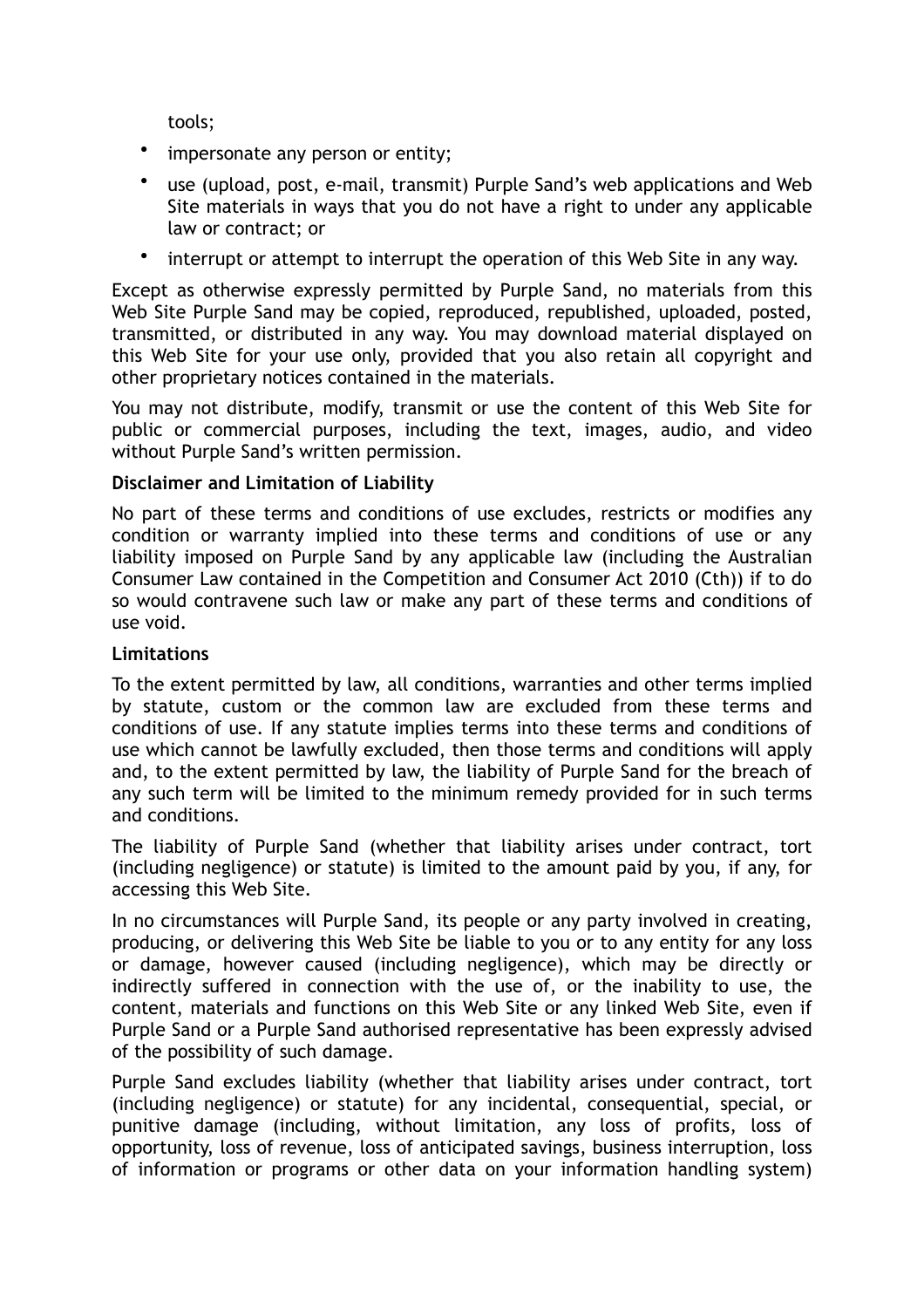tools;

- impersonate any person or entity;
- use (upload, post, e-mail, transmit) Purple Sand's web applications and Web Site materials in ways that you do not have a right to under any applicable law or contract; or
- interrupt or attempt to interrupt the operation of this Web Site in any way.

Except as otherwise expressly permitted by Purple Sand, no materials from this Web Site Purple Sand may be copied, reproduced, republished, uploaded, posted, transmitted, or distributed in any way. You may download material displayed on this Web Site for your use only, provided that you also retain all copyright and other proprietary notices contained in the materials.

You may not distribute, modify, transmit or use the content of this Web Site for public or commercial purposes, including the text, images, audio, and video without Purple Sand's written permission.

# **Disclaimer and Limitation of Liability**

No part of these terms and conditions of use excludes, restricts or modifies any condition or warranty implied into these terms and conditions of use or any liability imposed on Purple Sand by any applicable law (including the Australian Consumer Law contained in the Competition and Consumer Act 2010 (Cth)) if to do so would contravene such law or make any part of these terms and conditions of use void.

## **Limitations**

To the extent permitted by law, all conditions, warranties and other terms implied by statute, custom or the common law are excluded from these terms and conditions of use. If any statute implies terms into these terms and conditions of use which cannot be lawfully excluded, then those terms and conditions will apply and, to the extent permitted by law, the liability of Purple Sand for the breach of any such term will be limited to the minimum remedy provided for in such terms and conditions.

The liability of Purple Sand (whether that liability arises under contract, tort (including negligence) or statute) is limited to the amount paid by you, if any, for accessing this Web Site.

In no circumstances will Purple Sand, its people or any party involved in creating, producing, or delivering this Web Site be liable to you or to any entity for any loss or damage, however caused (including negligence), which may be directly or indirectly suffered in connection with the use of, or the inability to use, the content, materials and functions on this Web Site or any linked Web Site, even if Purple Sand or a Purple Sand authorised representative has been expressly advised of the possibility of such damage.

Purple Sand excludes liability (whether that liability arises under contract, tort (including negligence) or statute) for any incidental, consequential, special, or punitive damage (including, without limitation, any loss of profits, loss of opportunity, loss of revenue, loss of anticipated savings, business interruption, loss of information or programs or other data on your information handling system)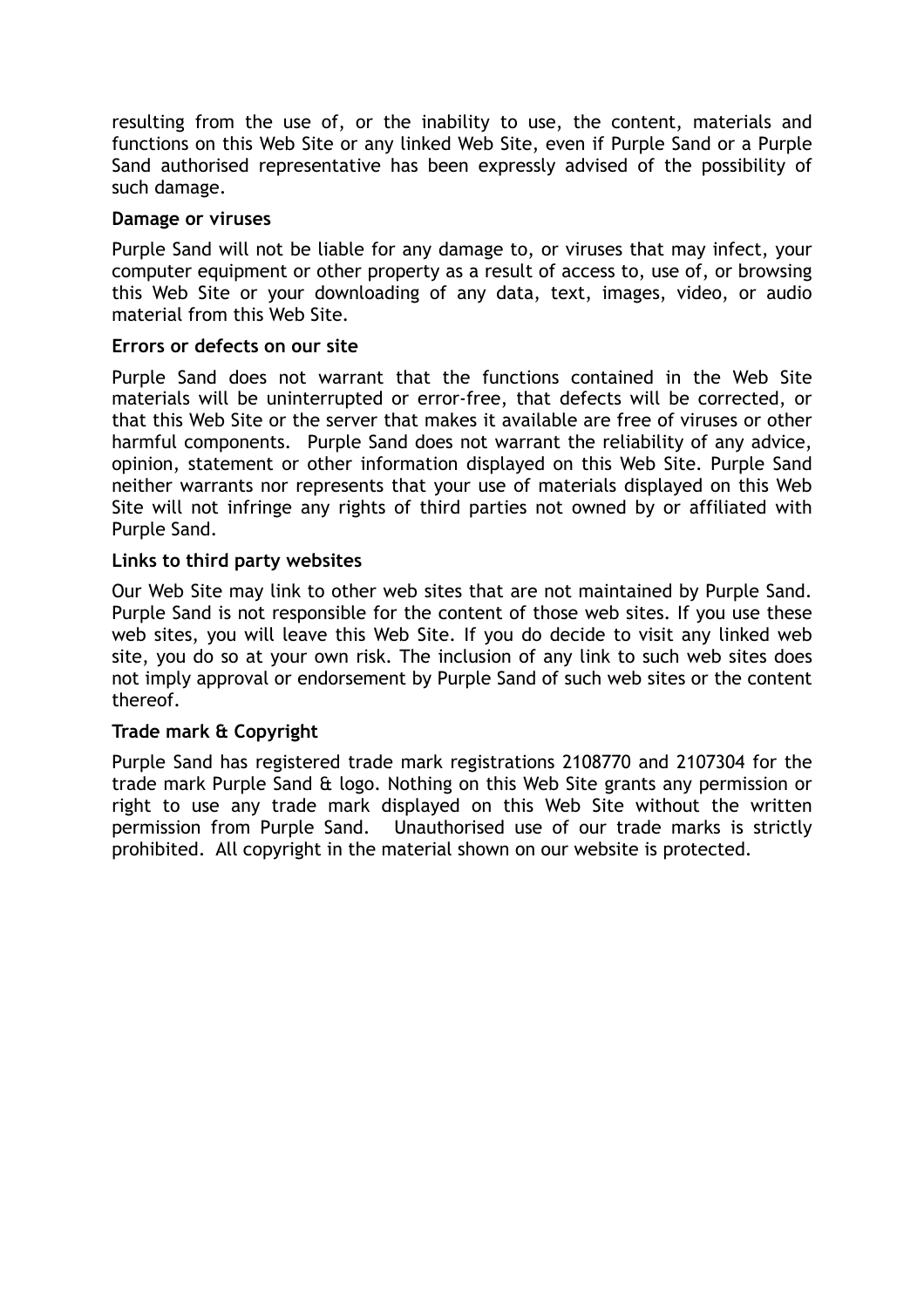resulting from the use of, or the inability to use, the content, materials and functions on this Web Site or any linked Web Site, even if Purple Sand or a Purple Sand authorised representative has been expressly advised of the possibility of such damage.

#### **Damage or viruses**

Purple Sand will not be liable for any damage to, or viruses that may infect, your computer equipment or other property as a result of access to, use of, or browsing this Web Site or your downloading of any data, text, images, video, or audio material from this Web Site.

#### **Errors or defects on our site**

Purple Sand does not warrant that the functions contained in the Web Site materials will be uninterrupted or error-free, that defects will be corrected, or that this Web Site or the server that makes it available are free of viruses or other harmful components. Purple Sand does not warrant the reliability of any advice, opinion, statement or other information displayed on this Web Site. Purple Sand neither warrants nor represents that your use of materials displayed on this Web Site will not infringe any rights of third parties not owned by or affiliated with Purple Sand.

## **Links to third party websites**

Our Web Site may link to other web sites that are not maintained by Purple Sand. Purple Sand is not responsible for the content of those web sites. If you use these web sites, you will leave this Web Site. If you do decide to visit any linked web site, you do so at your own risk. The inclusion of any link to such web sites does not imply approval or endorsement by Purple Sand of such web sites or the content thereof.

## **Trade mark & Copyright**

Purple Sand has registered trade mark registrations 2108770 and 2107304 for the trade mark Purple Sand & logo. Nothing on this Web Site grants any permission or right to use any trade mark displayed on this Web Site without the written permission from Purple Sand. Unauthorised use of our trade marks is strictly prohibited. All copyright in the material shown on our website is protected.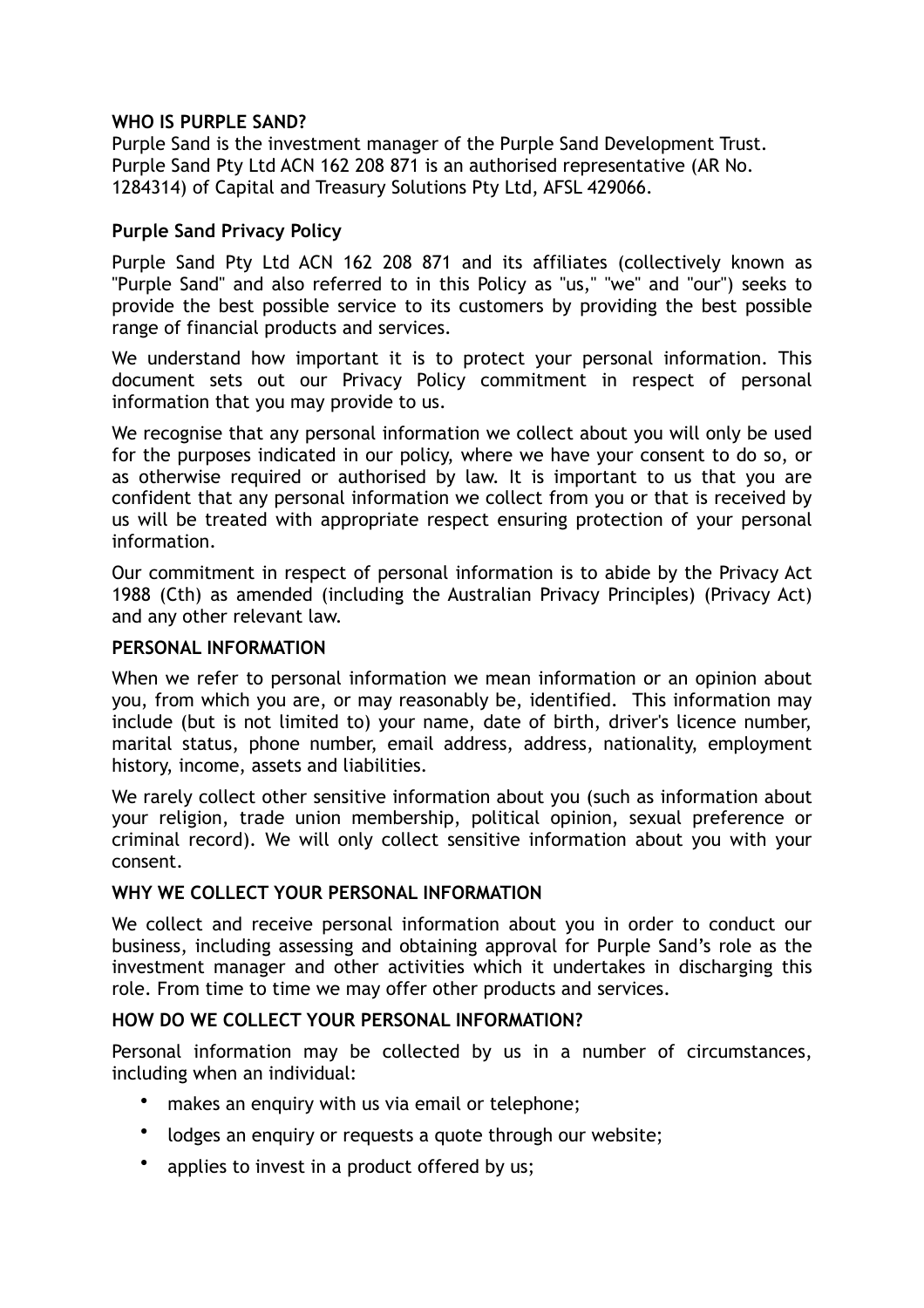## **WHO IS PURPLE SAND?**

Purple Sand is the investment manager of the Purple Sand Development Trust. Purple Sand Pty Ltd ACN 162 208 871 is an authorised representative (AR No. 1284314) of Capital and Treasury Solutions Pty Ltd, AFSL 429066.

# **Purple Sand Privacy Policy**

Purple Sand Pty Ltd ACN 162 208 871 and its affiliates (collectively known as "Purple Sand" and also referred to in this Policy as "us," "we" and "our") seeks to provide the best possible service to its customers by providing the best possible range of financial products and services.

We understand how important it is to protect your personal information. This document sets out our Privacy Policy commitment in respect of personal information that you may provide to us.

We recognise that any personal information we collect about you will only be used for the purposes indicated in our policy, where we have your consent to do so, or as otherwise required or authorised by law. It is important to us that you are confident that any personal information we collect from you or that is received by us will be treated with appropriate respect ensuring protection of your personal information.

Our commitment in respect of personal information is to abide by the Privacy Act 1988 (Cth) as amended (including the Australian Privacy Principles) (Privacy Act) and any other relevant law.

#### **PERSONAL INFORMATION**

When we refer to personal information we mean information or an opinion about you, from which you are, or may reasonably be, identified. This information may include (but is not limited to) your name, date of birth, driver's licence number, marital status, phone number, email address, address, nationality, employment history, income, assets and liabilities.

We rarely collect other sensitive information about you (such as information about your religion, trade union membership, political opinion, sexual preference or criminal record). We will only collect sensitive information about you with your consent.

## **WHY WE COLLECT YOUR PERSONAL INFORMATION**

We collect and receive personal information about you in order to conduct our business, including assessing and obtaining approval for Purple Sand's role as the investment manager and other activities which it undertakes in discharging this role. From time to time we may offer other products and services.

## **HOW DO WE COLLECT YOUR PERSONAL INFORMATION?**

Personal information may be collected by us in a number of circumstances, including when an individual:

- makes an enquiry with us via email or telephone;
- lodges an enquiry or requests a quote through our website;
- applies to invest in a product offered by us;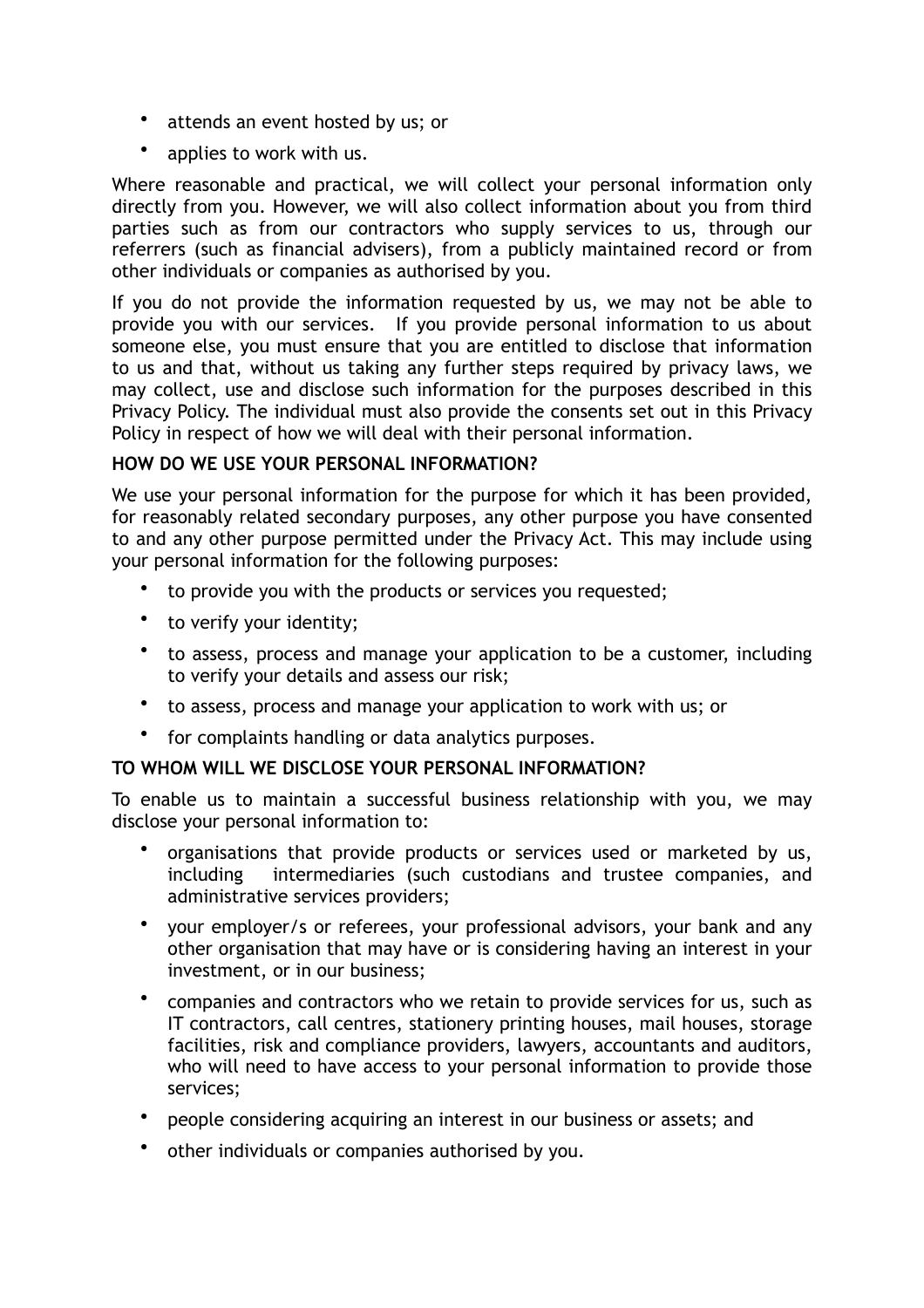- attends an event hosted by us; or
- applies to work with us.

Where reasonable and practical, we will collect your personal information only directly from you. However, we will also collect information about you from third parties such as from our contractors who supply services to us, through our referrers (such as financial advisers), from a publicly maintained record or from other individuals or companies as authorised by you.

If you do not provide the information requested by us, we may not be able to provide you with our services. If you provide personal information to us about someone else, you must ensure that you are entitled to disclose that information to us and that, without us taking any further steps required by privacy laws, we may collect, use and disclose such information for the purposes described in this Privacy Policy. The individual must also provide the consents set out in this Privacy Policy in respect of how we will deal with their personal information.

# **HOW DO WE USE YOUR PERSONAL INFORMATION?**

We use your personal information for the purpose for which it has been provided, for reasonably related secondary purposes, any other purpose you have consented to and any other purpose permitted under the Privacy Act. This may include using your personal information for the following purposes:

- to provide you with the products or services you requested;
- to verify your identity;
- to assess, process and manage your application to be a customer, including to verify your details and assess our risk;
- to assess, process and manage your application to work with us; or
- for complaints handling or data analytics purposes.

# **TO WHOM WILL WE DISCLOSE YOUR PERSONAL INFORMATION?**

To enable us to maintain a successful business relationship with you, we may disclose your personal information to:

- organisations that provide products or services used or marketed by us, including intermediaries (such custodians and trustee companies, and administrative services providers;
- your employer/s or referees, your professional advisors, your bank and any other organisation that may have or is considering having an interest in your investment, or in our business;
- companies and contractors who we retain to provide services for us, such as IT contractors, call centres, stationery printing houses, mail houses, storage facilities, risk and compliance providers, lawyers, accountants and auditors, who will need to have access to your personal information to provide those services;
- people considering acquiring an interest in our business or assets; and
- other individuals or companies authorised by you.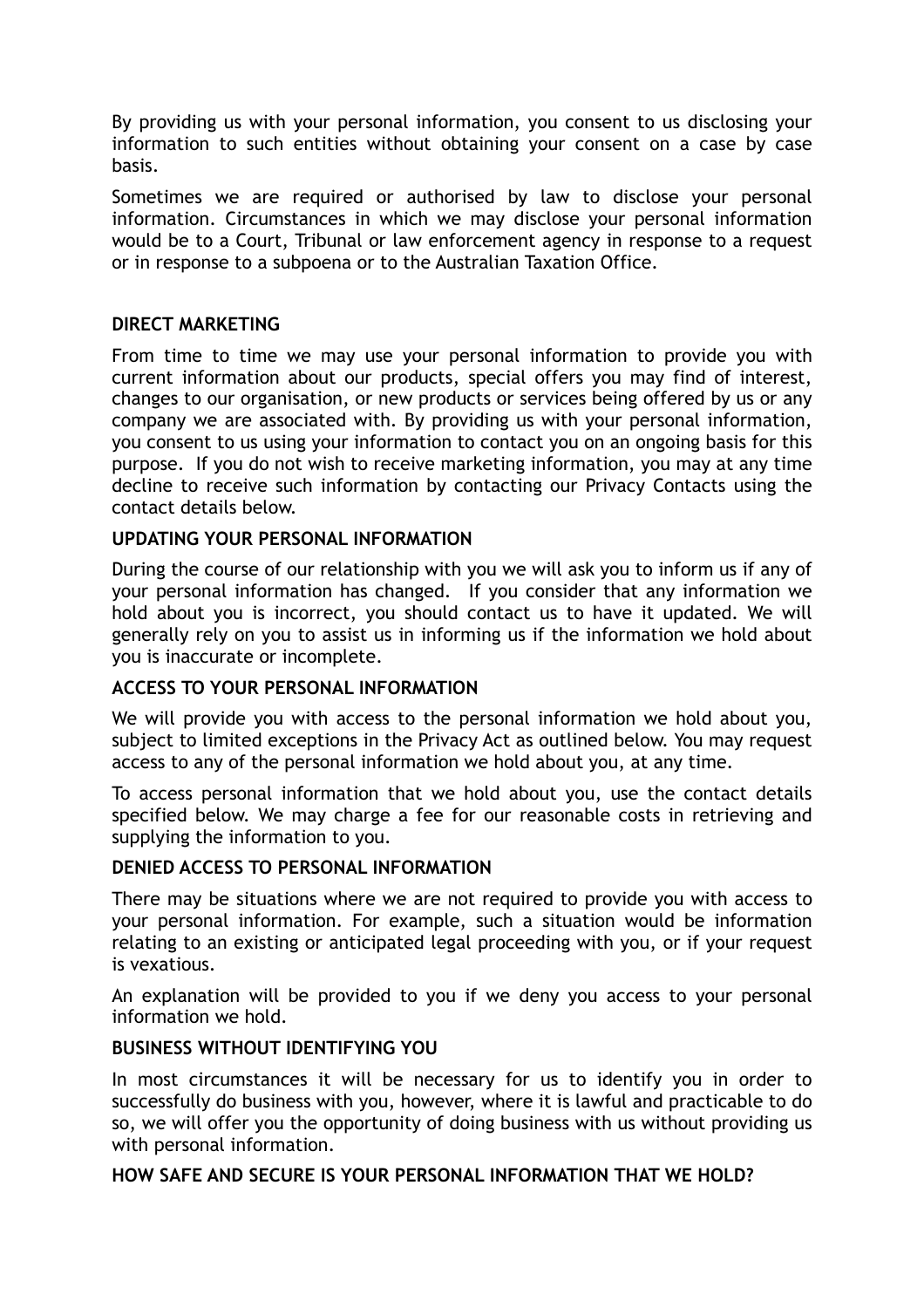By providing us with your personal information, you consent to us disclosing your information to such entities without obtaining your consent on a case by case basis.

Sometimes we are required or authorised by law to disclose your personal information. Circumstances in which we may disclose your personal information would be to a Court, Tribunal or law enforcement agency in response to a request or in response to a subpoena or to the Australian Taxation Office.

# **DIRECT MARKETING**

From time to time we may use your personal information to provide you with current information about our products, special offers you may find of interest, changes to our organisation, or new products or services being offered by us or any company we are associated with. By providing us with your personal information, you consent to us using your information to contact you on an ongoing basis for this purpose. If you do not wish to receive marketing information, you may at any time decline to receive such information by contacting our Privacy Contacts using the contact details below.

## **UPDATING YOUR PERSONAL INFORMATION**

During the course of our relationship with you we will ask you to inform us if any of your personal information has changed. If you consider that any information we hold about you is incorrect, you should contact us to have it updated. We will generally rely on you to assist us in informing us if the information we hold about you is inaccurate or incomplete.

## **ACCESS TO YOUR PERSONAL INFORMATION**

We will provide you with access to the personal information we hold about you, subject to limited exceptions in the Privacy Act as outlined below. You may request access to any of the personal information we hold about you, at any time.

To access personal information that we hold about you, use the contact details specified below. We may charge a fee for our reasonable costs in retrieving and supplying the information to you.

## **DENIED ACCESS TO PERSONAL INFORMATION**

There may be situations where we are not required to provide you with access to your personal information. For example, such a situation would be information relating to an existing or anticipated legal proceeding with you, or if your request is vexatious.

An explanation will be provided to you if we deny you access to your personal information we hold.

## **BUSINESS WITHOUT IDENTIFYING YOU**

In most circumstances it will be necessary for us to identify you in order to successfully do business with you, however, where it is lawful and practicable to do so, we will offer you the opportunity of doing business with us without providing us with personal information.

## **HOW SAFE AND SECURE IS YOUR PERSONAL INFORMATION THAT WE HOLD?**